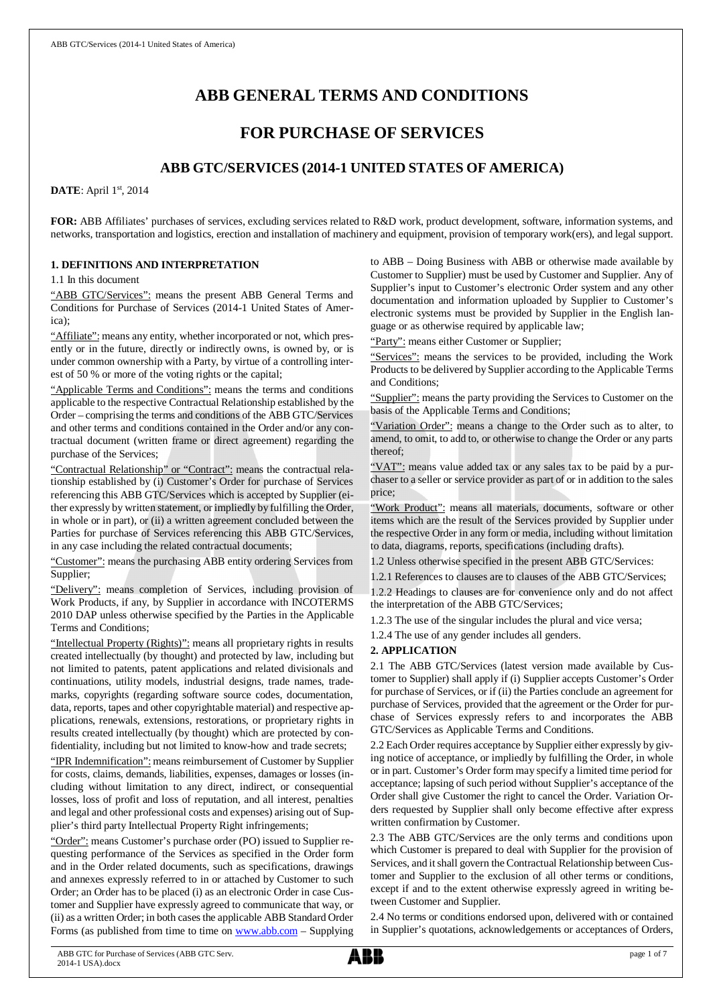# **ABB GENERAL TERMS AND CONDITIONS**

## **FOR PURCHASE OF SERVICES**

## **ABB GTC/SERVICES (2014-1 UNITED STATES OF AMERICA)**

**DATE**: April 1st, 2014

**FOR:** ABB Affiliates' purchases of services, excluding services related to R&D work, product development, software, information systems, and networks, transportation and logistics, erection and installation of machinery and equipment, provision of temporary work(ers), and legal support.

## **1. DEFINITIONS AND INTERPRETATION**

1.1 In this document

"ABB GTC/Services": means the present ABB General Terms and Conditions for Purchase of Services (2014-1 United States of America);

"Affiliate": means any entity, whether incorporated or not, which presently or in the future, directly or indirectly owns, is owned by, or is under common ownership with a Party, by virtue of a controlling interest of 50 % or more of the voting rights or the capital;

"Applicable Terms and Conditions": means the terms and conditions applicable to the respective Contractual Relationship established by the Order – comprising the terms and conditions of the ABB GTC/Services and other terms and conditions contained in the Order and/or any contractual document (written frame or direct agreement) regarding the purchase of the Services;

"Contractual Relationship" or "Contract": means the contractual relationship established by (i) Customer's Order for purchase of Services referencing this ABB GTC/Services which is accepted by Supplier (either expressly by written statement, or impliedly by fulfilling the Order, in whole or in part), or (ii) a written agreement concluded between the Parties for purchase of Services referencing this ABB GTC/Services, in any case including the related contractual documents;

"Customer": means the purchasing ABB entity ordering Services from Supplier;

"Delivery": means completion of Services, including provision of Work Products, if any, by Supplier in accordance with INCOTERMS 2010 DAP unless otherwise specified by the Parties in the Applicable Terms and Conditions;

"Intellectual Property (Rights)": means all proprietary rights in results created intellectually (by thought) and protected by law, including but not limited to patents, patent applications and related divisionals and continuations, utility models, industrial designs, trade names, trademarks, copyrights (regarding software source codes, documentation, data, reports, tapes and other copyrightable material) and respective applications, renewals, extensions, restorations, or proprietary rights in results created intellectually (by thought) which are protected by confidentiality, including but not limited to know-how and trade secrets;

"IPR Indemnification": means reimbursement of Customer by Supplier for costs, claims, demands, liabilities, expenses, damages or losses (including without limitation to any direct, indirect, or consequential losses, loss of profit and loss of reputation, and all interest, penalties and legal and other professional costs and expenses) arising out of Supplier's third party Intellectual Property Right infringements;

"Order": means Customer's purchase order (PO) issued to Supplier requesting performance of the Services as specified in the Order form and in the Order related documents, such as specifications, drawings and annexes expressly referred to in or attached by Customer to such Order; an Order has to be placed (i) as an electronic Order in case Customer and Supplier have expressly agreed to communicate that way, or (ii) as a written Order; in both cases the applicable ABB Standard Order Forms (as published from time to time on [www.abb.com](http://www.abb.com/) – Supplying to ABB – Doing Business with ABB or otherwise made available by Customer to Supplier) must be used by Customer and Supplier. Any of Supplier's input to Customer's electronic Order system and any other documentation and information uploaded by Supplier to Customer's electronic systems must be provided by Supplier in the English language or as otherwise required by applicable law;

"Party": means either Customer or Supplier;

"Services": means the services to be provided, including the Work Products to be delivered by Supplier according to the Applicable Terms and Conditions;

"Supplier": means the party providing the Services to Customer on the basis of the Applicable Terms and Conditions;

"Variation Order": means a change to the Order such as to alter, to amend, to omit, to add to, or otherwise to change the Order or any parts thereof;

"VAT": means value added tax or any sales tax to be paid by a purchaser to a seller or service provider as part of or in addition to the sales price;

"Work Product": means all materials, documents, software or other items which are the result of the Services provided by Supplier under the respective Order in any form or media, including without limitation to data, diagrams, reports, specifications (including drafts).

1.2 Unless otherwise specified in the present ABB GTC/Services:

1.2.1 References to clauses are to clauses of the ABB GTC/Services;

1.2.2 Headings to clauses are for convenience only and do not affect the interpretation of the ABB GTC/Services;

1.2.3 The use of the singular includes the plural and vice versa;

1.2.4 The use of any gender includes all genders.

## **2. APPLICATION**

2.1 The ABB GTC/Services (latest version made available by Customer to Supplier) shall apply if (i) Supplier accepts Customer's Order for purchase of Services, or if (ii) the Parties conclude an agreement for purchase of Services, provided that the agreement or the Order for purchase of Services expressly refers to and incorporates the ABB GTC/Services as Applicable Terms and Conditions.

2.2 Each Order requires acceptance by Supplier either expressly by giving notice of acceptance, or impliedly by fulfilling the Order, in whole or in part. Customer's Order form may specify a limited time period for acceptance; lapsing of such period without Supplier's acceptance of the Order shall give Customer the right to cancel the Order. Variation Orders requested by Supplier shall only become effective after express written confirmation by Customer.

2.3 The ABB GTC/Services are the only terms and conditions upon which Customer is prepared to deal with Supplier for the provision of Services, and it shall govern the Contractual Relationship between Customer and Supplier to the exclusion of all other terms or conditions, except if and to the extent otherwise expressly agreed in writing between Customer and Supplier.

2.4 No terms or conditions endorsed upon, delivered with or contained in Supplier's quotations, acknowledgements or acceptances of Orders,

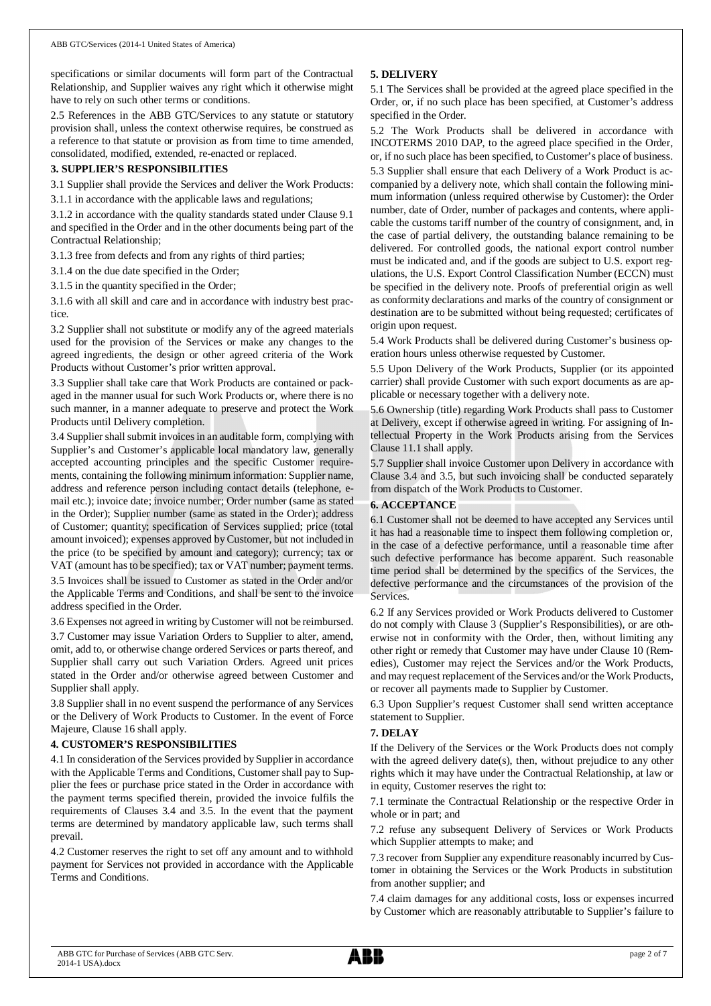specifications or similar documents will form part of the Contractual Relationship, and Supplier waives any right which it otherwise might have to rely on such other terms or conditions.

2.5 References in the ABB GTC/Services to any statute or statutory provision shall, unless the context otherwise requires, be construed as a reference to that statute or provision as from time to time amended, consolidated, modified, extended, re-enacted or replaced.

## **3. SUPPLIER'S RESPONSIBILITIES**

3.1 Supplier shall provide the Services and deliver the Work Products:

3.1.1 in accordance with the applicable laws and regulations;

3.1.2 in accordance with the quality standards stated under Clause 9.1 and specified in the Order and in the other documents being part of the Contractual Relationship;

3.1.3 free from defects and from any rights of third parties;

3.1.4 on the due date specified in the Order;

3.1.5 in the quantity specified in the Order;

3.1.6 with all skill and care and in accordance with industry best practice.

3.2 Supplier shall not substitute or modify any of the agreed materials used for the provision of the Services or make any changes to the agreed ingredients, the design or other agreed criteria of the Work Products without Customer's prior written approval.

3.3 Supplier shall take care that Work Products are contained or packaged in the manner usual for such Work Products or, where there is no such manner, in a manner adequate to preserve and protect the Work Products until Delivery completion.

3.4 Supplier shall submit invoices in an auditable form, complying with Supplier's and Customer's applicable local mandatory law, generally accepted accounting principles and the specific Customer requirements, containing the following minimum information: Supplier name, address and reference person including contact details (telephone, email etc.); invoice date; invoice number; Order number (same as stated in the Order); Supplier number (same as stated in the Order); address of Customer; quantity; specification of Services supplied; price (total amount invoiced); expenses approved by Customer, but not included in the price (to be specified by amount and category); currency; tax or VAT (amount has to be specified); tax or VAT number; payment terms.

3.5 Invoices shall be issued to Customer as stated in the Order and/or the Applicable Terms and Conditions, and shall be sent to the invoice address specified in the Order.

3.6 Expenses not agreed in writing by Customer will not be reimbursed.

3.7 Customer may issue Variation Orders to Supplier to alter, amend, omit, add to, or otherwise change ordered Services or parts thereof, and Supplier shall carry out such Variation Orders. Agreed unit prices stated in the Order and/or otherwise agreed between Customer and Supplier shall apply.

3.8 Supplier shall in no event suspend the performance of any Services or the Delivery of Work Products to Customer. In the event of Force Majeure, Clause 16 shall apply.

## **4. CUSTOMER'S RESPONSIBILITIES**

4.1 In consideration of the Services provided by Supplier in accordance with the Applicable Terms and Conditions, Customer shall pay to Supplier the fees or purchase price stated in the Order in accordance with the payment terms specified therein, provided the invoice fulfils the requirements of Clauses 3.4 and 3.5. In the event that the payment terms are determined by mandatory applicable law, such terms shall prevail.

4.2 Customer reserves the right to set off any amount and to withhold payment for Services not provided in accordance with the Applicable Terms and Conditions.

## **5. DELIVERY**

5.1 The Services shall be provided at the agreed place specified in the Order, or, if no such place has been specified, at Customer's address specified in the Order.

5.2 The Work Products shall be delivered in accordance with INCOTERMS 2010 DAP, to the agreed place specified in the Order, or, if no such place has been specified, to Customer's place of business.

5.3 Supplier shall ensure that each Delivery of a Work Product is accompanied by a delivery note, which shall contain the following minimum information (unless required otherwise by Customer): the Order number, date of Order, number of packages and contents, where applicable the customs tariff number of the country of consignment, and, in the case of partial delivery, the outstanding balance remaining to be delivered. For controlled goods, the national export control number must be indicated and, and if the goods are subject to U.S. export regulations, the U.S. Export Control Classification Number (ECCN) must be specified in the delivery note. Proofs of preferential origin as well as conformity declarations and marks of the country of consignment or destination are to be submitted without being requested; certificates of origin upon request.

5.4 Work Products shall be delivered during Customer's business operation hours unless otherwise requested by Customer.

5.5 Upon Delivery of the Work Products, Supplier (or its appointed carrier) shall provide Customer with such export documents as are applicable or necessary together with a delivery note.

5.6 Ownership (title) regarding Work Products shall pass to Customer at Delivery, except if otherwise agreed in writing. For assigning of Intellectual Property in the Work Products arising from the Services Clause 11.1 shall apply.

5.7 Supplier shall invoice Customer upon Delivery in accordance with Clause 3.4 and 3.5, but such invoicing shall be conducted separately from dispatch of the Work Products to Customer.

#### **6. ACCEPTANCE**

6.1 Customer shall not be deemed to have accepted any Services until it has had a reasonable time to inspect them following completion or, in the case of a defective performance, until a reasonable time after such defective performance has become apparent. Such reasonable time period shall be determined by the specifics of the Services, the defective performance and the circumstances of the provision of the **Services** 

6.2 If any Services provided or Work Products delivered to Customer do not comply with Clause 3 (Supplier's Responsibilities), or are otherwise not in conformity with the Order, then, without limiting any other right or remedy that Customer may have under Clause 10 (Remedies), Customer may reject the Services and/or the Work Products, and may request replacement of the Services and/or the Work Products, or recover all payments made to Supplier by Customer.

6.3 Upon Supplier's request Customer shall send written acceptance statement to Supplier.

## **7. DELAY**

If the Delivery of the Services or the Work Products does not comply with the agreed delivery date(s), then, without prejudice to any other rights which it may have under the Contractual Relationship, at law or in equity, Customer reserves the right to:

7.1 terminate the Contractual Relationship or the respective Order in whole or in part; and

7.2 refuse any subsequent Delivery of Services or Work Products which Supplier attempts to make; and

7.3 recover from Supplier any expenditure reasonably incurred by Customer in obtaining the Services or the Work Products in substitution from another supplier; and

7.4 claim damages for any additional costs, loss or expenses incurred by Customer which are reasonably attributable to Supplier's failure to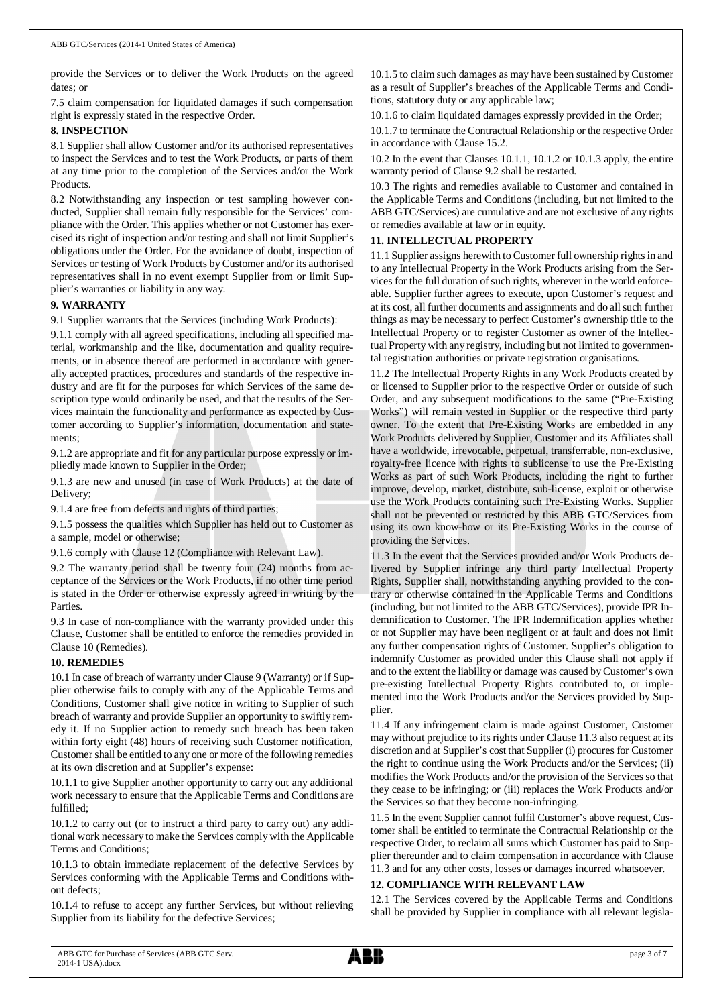provide the Services or to deliver the Work Products on the agreed dates; or

7.5 claim compensation for liquidated damages if such compensation right is expressly stated in the respective Order.

#### **8. INSPECTION**

8.1 Supplier shall allow Customer and/or its authorised representatives to inspect the Services and to test the Work Products, or parts of them at any time prior to the completion of the Services and/or the Work Products.

8.2 Notwithstanding any inspection or test sampling however conducted, Supplier shall remain fully responsible for the Services' compliance with the Order. This applies whether or not Customer has exercised its right of inspection and/or testing and shall not limit Supplier's obligations under the Order. For the avoidance of doubt, inspection of Services or testing of Work Products by Customer and/or its authorised representatives shall in no event exempt Supplier from or limit Supplier's warranties or liability in any way.

## **9. WARRANTY**

9.1 Supplier warrants that the Services (including Work Products):

9.1.1 comply with all agreed specifications, including all specified material, workmanship and the like, documentation and quality requirements, or in absence thereof are performed in accordance with generally accepted practices, procedures and standards of the respective industry and are fit for the purposes for which Services of the same description type would ordinarily be used, and that the results of the Services maintain the functionality and performance as expected by Customer according to Supplier's information, documentation and statements;

9.1.2 are appropriate and fit for any particular purpose expressly or impliedly made known to Supplier in the Order;

9.1.3 are new and unused (in case of Work Products) at the date of Delivery;

9.1.4 are free from defects and rights of third parties;

9.1.5 possess the qualities which Supplier has held out to Customer as a sample, model or otherwise;

9.1.6 comply with Clause 12 (Compliance with Relevant Law).

9.2 The warranty period shall be twenty four (24) months from acceptance of the Services or the Work Products, if no other time period is stated in the Order or otherwise expressly agreed in writing by the Parties.

9.3 In case of non-compliance with the warranty provided under this Clause, Customer shall be entitled to enforce the remedies provided in Clause 10 (Remedies).

#### **10. REMEDIES**

10.1 In case of breach of warranty under Clause 9 (Warranty) or if Supplier otherwise fails to comply with any of the Applicable Terms and Conditions, Customer shall give notice in writing to Supplier of such breach of warranty and provide Supplier an opportunity to swiftly remedy it. If no Supplier action to remedy such breach has been taken within forty eight (48) hours of receiving such Customer notification, Customer shall be entitled to any one or more of the following remedies at its own discretion and at Supplier's expense:

10.1.1 to give Supplier another opportunity to carry out any additional work necessary to ensure that the Applicable Terms and Conditions are fulfilled;

10.1.2 to carry out (or to instruct a third party to carry out) any additional work necessary to make the Services comply with the Applicable Terms and Conditions;

10.1.3 to obtain immediate replacement of the defective Services by Services conforming with the Applicable Terms and Conditions without defects;

10.1.4 to refuse to accept any further Services, but without relieving Supplier from its liability for the defective Services;

10.1.5 to claim such damages as may have been sustained by Customer as a result of Supplier's breaches of the Applicable Terms and Conditions, statutory duty or any applicable law;

10.1.6 to claim liquidated damages expressly provided in the Order;

10.1.7 to terminate the Contractual Relationship or the respective Order in accordance with Clause 15.2.

10.2 In the event that Clauses 10.1.1, 10.1.2 or 10.1.3 apply, the entire warranty period of Clause 9.2 shall be restarted.

10.3 The rights and remedies available to Customer and contained in the Applicable Terms and Conditions (including, but not limited to the ABB GTC/Services) are cumulative and are not exclusive of any rights or remedies available at law or in equity.

## **11. INTELLECTUAL PROPERTY**

11.1 Supplier assigns herewith to Customer full ownership rights in and to any Intellectual Property in the Work Products arising from the Services for the full duration of such rights, wherever in the world enforceable. Supplier further agrees to execute, upon Customer's request and at its cost, all further documents and assignments and do all such further things as may be necessary to perfect Customer's ownership title to the Intellectual Property or to register Customer as owner of the Intellectual Property with any registry, including but not limited to governmental registration authorities or private registration organisations.

11.2 The Intellectual Property Rights in any Work Products created by or licensed to Supplier prior to the respective Order or outside of such Order, and any subsequent modifications to the same ("Pre-Existing Works") will remain vested in Supplier or the respective third party owner. To the extent that Pre-Existing Works are embedded in any Work Products delivered by Supplier, Customer and its Affiliates shall have a worldwide, irrevocable, perpetual, transferrable, non-exclusive, royalty-free licence with rights to sublicense to use the Pre-Existing Works as part of such Work Products, including the right to further improve, develop, market, distribute, sub-license, exploit or otherwise use the Work Products containing such Pre-Existing Works. Supplier shall not be prevented or restricted by this ABB GTC/Services from using its own know-how or its Pre-Existing Works in the course of providing the Services.

11.3 In the event that the Services provided and/or Work Products delivered by Supplier infringe any third party Intellectual Property Rights, Supplier shall, notwithstanding anything provided to the contrary or otherwise contained in the Applicable Terms and Conditions (including, but not limited to the ABB GTC/Services), provide IPR Indemnification to Customer. The IPR Indemnification applies whether or not Supplier may have been negligent or at fault and does not limit any further compensation rights of Customer. Supplier's obligation to indemnify Customer as provided under this Clause shall not apply if and to the extent the liability or damage was caused by Customer's own pre-existing Intellectual Property Rights contributed to, or implemented into the Work Products and/or the Services provided by Supplier.

11.4 If any infringement claim is made against Customer, Customer may without prejudice to its rights under Clause 11.3 also request at its discretion and at Supplier's cost that Supplier (i) procures for Customer the right to continue using the Work Products and/or the Services; (ii) modifies the Work Products and/or the provision of the Services so that they cease to be infringing; or (iii) replaces the Work Products and/or the Services so that they become non-infringing.

11.5 In the event Supplier cannot fulfil Customer's above request, Customer shall be entitled to terminate the Contractual Relationship or the respective Order, to reclaim all sums which Customer has paid to Supplier thereunder and to claim compensation in accordance with Clause 11.3 and for any other costs, losses or damages incurred whatsoever.

## **12. COMPLIANCE WITH RELEVANT LAW**

12.1 The Services covered by the Applicable Terms and Conditions shall be provided by Supplier in compliance with all relevant legisla-

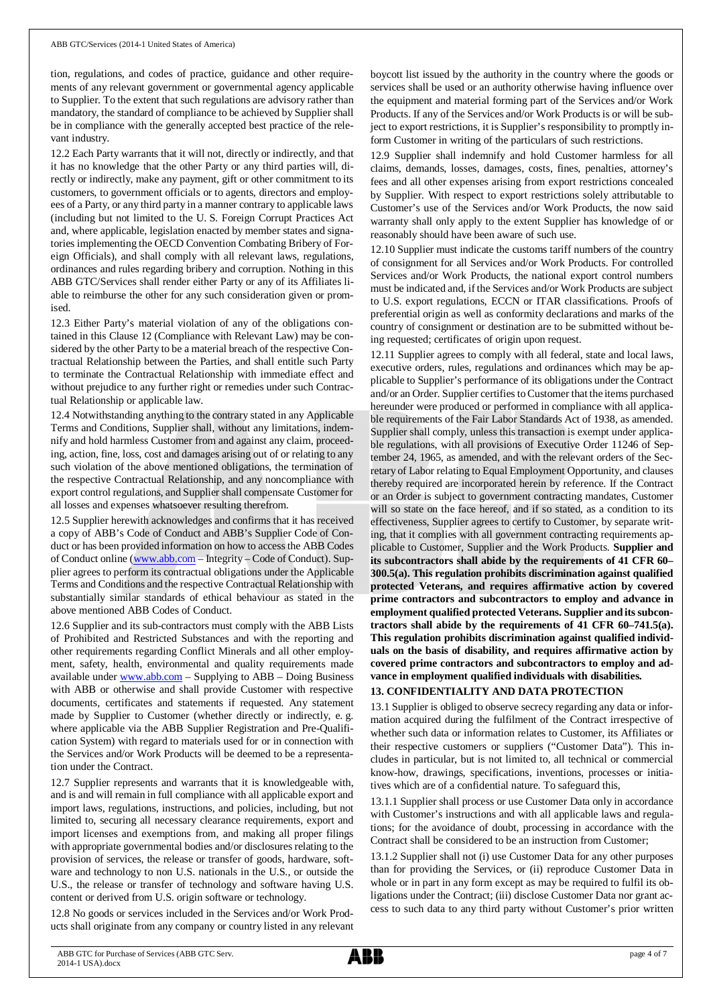tion, regulations, and codes of practice, guidance and other requirements of any relevant government or governmental agency applicable to Supplier. To the extent that such regulations are advisory rather than mandatory, the standard of compliance to be achieved by Supplier shall be in compliance with the generally accepted best practice of the relevant industry.

12.2 Each Party warrants that it will not, directly or indirectly, and that it has no knowledge that the other Party or any third parties will, directly or indirectly, make any payment, gift or other commitment to its customers, to government officials or to agents, directors and employees of a Party, or any third party in a manner contrary to applicable laws (including but not limited to the U. S. Foreign Corrupt Practices Act and, where applicable, legislation enacted by member states and signatories implementing the OECD Convention Combating Bribery of Foreign Officials), and shall comply with all relevant laws, regulations, ordinances and rules regarding bribery and corruption. Nothing in this ABB GTC/Services shall render either Party or any of its Affiliates liable to reimburse the other for any such consideration given or promised.

12.3 Either Party's material violation of any of the obligations contained in this Clause 12 (Compliance with Relevant Law) may be considered by the other Party to be a material breach of the respective Contractual Relationship between the Parties, and shall entitle such Party to terminate the Contractual Relationship with immediate effect and without prejudice to any further right or remedies under such Contractual Relationship or applicable law.

12.4 Notwithstanding anything to the contrary stated in any Applicable Terms and Conditions, Supplier shall, without any limitations, indemnify and hold harmless Customer from and against any claim, proceeding, action, fine, loss, cost and damages arising out of or relating to any such violation of the above mentioned obligations, the termination of the respective Contractual Relationship, and any noncompliance with export control regulations, and Supplier shall compensate Customer for all losses and expenses whatsoever resulting therefrom.

12.5 Supplier herewith acknowledges and confirms that it has received a copy of ABB's Code of Conduct and ABB's Supplier Code of Conduct or has been provided information on how to access the ABB Codes of Conduct online ([www.abb.com](http://www.abb.com/) – Integrity – Code of Conduct). Supplier agrees to perform its contractual obligations under the Applicable Terms and Conditions and the respective Contractual Relationship with substantially similar standards of ethical behaviour as stated in the above mentioned ABB Codes of Conduct.

12.6 Supplier and its sub-contractors must comply with the ABB Lists of Prohibited and Restricted Substances and with the reporting and other requirements regarding Conflict Minerals and all other employment, safety, health, environmental and quality requirements made available under [www.abb.com](http://www.abb.com/) – Supplying to ABB – Doing Business with ABB or otherwise and shall provide Customer with respective documents, certificates and statements if requested. Any statement made by Supplier to Customer (whether directly or indirectly, e. g. where applicable via the ABB Supplier Registration and Pre-Qualification System) with regard to materials used for or in connection with the Services and/or Work Products will be deemed to be a representation under the Contract.

12.7 Supplier represents and warrants that it is knowledgeable with, and is and will remain in full compliance with all applicable export and import laws, regulations, instructions, and policies, including, but not limited to, securing all necessary clearance requirements, export and import licenses and exemptions from, and making all proper filings with appropriate governmental bodies and/or disclosures relating to the provision of services, the release or transfer of goods, hardware, software and technology to non U.S. nationals in the U.S., or outside the U.S., the release or transfer of technology and software having U.S. content or derived from U.S. origin software or technology.

12.8 No goods or services included in the Services and/or Work Products shall originate from any company or country listed in any relevant boycott list issued by the authority in the country where the goods or services shall be used or an authority otherwise having influence over the equipment and material forming part of the Services and/or Work Products. If any of the Services and/or Work Products is or will be subject to export restrictions, it is Supplier's responsibility to promptly inform Customer in writing of the particulars of such restrictions.

12.9 Supplier shall indemnify and hold Customer harmless for all claims, demands, losses, damages, costs, fines, penalties, attorney's fees and all other expenses arising from export restrictions concealed by Supplier. With respect to export restrictions solely attributable to Customer's use of the Services and/or Work Products, the now said warranty shall only apply to the extent Supplier has knowledge of or reasonably should have been aware of such use.

12.10 Supplier must indicate the customs tariff numbers of the country of consignment for all Services and/or Work Products. For controlled Services and/or Work Products, the national export control numbers must be indicated and, if the Services and/or Work Products are subject to U.S. export regulations, ECCN or ITAR classifications. Proofs of preferential origin as well as conformity declarations and marks of the country of consignment or destination are to be submitted without being requested; certificates of origin upon request.

12.11 Supplier agrees to comply with all federal, state and local laws, executive orders, rules, regulations and ordinances which may be applicable to Supplier's performance of its obligations under the Contract and/or an Order. Supplier certifies to Customer that the items purchased hereunder were produced or performed in compliance with all applicable requirements of the Fair Labor Standards Act of 1938, as amended. Supplier shall comply, unless this transaction is exempt under applicable regulations, with all provisions of Executive Order 11246 of September 24, 1965, as amended, and with the relevant orders of the Secretary of Labor relating to Equal Employment Opportunity, and clauses thereby required are incorporated herein by reference. If the Contract or an Order is subject to government contracting mandates, Customer will so state on the face hereof, and if so stated, as a condition to its effectiveness, Supplier agrees to certify to Customer, by separate writing, that it complies with all government contracting requirements applicable to Customer, Supplier and the Work Products. **Supplier and its subcontractors shall abide by the requirements of 41 CFR 60– 300.5(a). This regulation prohibits discrimination against qualified protected Veterans, and requires affirmative action by covered prime contractors and subcontractors to employ and advance in employment qualified protected Veterans. Supplier and its subcontractors shall abide by the requirements of 41 CFR 60–741.5(a). This regulation prohibits discrimination against qualified individuals on the basis of disability, and requires affirmative action by covered prime contractors and subcontractors to employ and advance in employment qualified individuals with disabilities.**

## **13. CONFIDENTIALITY AND DATA PROTECTION**

13.1 Supplier is obliged to observe secrecy regarding any data or information acquired during the fulfilment of the Contract irrespective of whether such data or information relates to Customer, its Affiliates or their respective customers or suppliers ("Customer Data"). This includes in particular, but is not limited to, all technical or commercial know-how, drawings, specifications, inventions, processes or initiatives which are of a confidential nature. To safeguard this,

13.1.1 Supplier shall process or use Customer Data only in accordance with Customer's instructions and with all applicable laws and regulations; for the avoidance of doubt, processing in accordance with the Contract shall be considered to be an instruction from Customer;

13.1.2 Supplier shall not (i) use Customer Data for any other purposes than for providing the Services, or (ii) reproduce Customer Data in whole or in part in any form except as may be required to fulfil its obligations under the Contract; (iii) disclose Customer Data nor grant access to such data to any third party without Customer's prior written

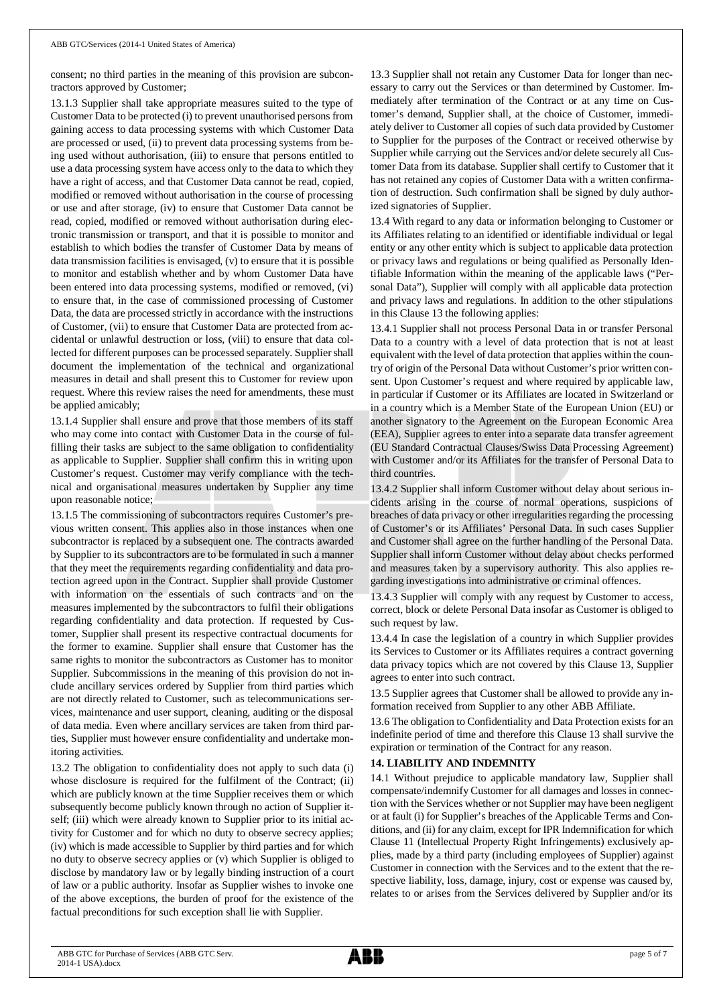consent; no third parties in the meaning of this provision are subcontractors approved by Customer;

13.1.3 Supplier shall take appropriate measures suited to the type of Customer Data to be protected (i) to prevent unauthorised persons from gaining access to data processing systems with which Customer Data are processed or used, (ii) to prevent data processing systems from being used without authorisation, (iii) to ensure that persons entitled to use a data processing system have access only to the data to which they have a right of access, and that Customer Data cannot be read, copied, modified or removed without authorisation in the course of processing or use and after storage, (iv) to ensure that Customer Data cannot be read, copied, modified or removed without authorisation during electronic transmission or transport, and that it is possible to monitor and establish to which bodies the transfer of Customer Data by means of data transmission facilities is envisaged, (v) to ensure that it is possible to monitor and establish whether and by whom Customer Data have been entered into data processing systems, modified or removed, (vi) to ensure that, in the case of commissioned processing of Customer Data, the data are processed strictly in accordance with the instructions of Customer, (vii) to ensure that Customer Data are protected from accidental or unlawful destruction or loss, (viii) to ensure that data collected for different purposes can be processed separately. Supplier shall document the implementation of the technical and organizational measures in detail and shall present this to Customer for review upon request. Where this review raises the need for amendments, these must be applied amicably;

13.1.4 Supplier shall ensure and prove that those members of its staff who may come into contact with Customer Data in the course of fulfilling their tasks are subject to the same obligation to confidentiality as applicable to Supplier. Supplier shall confirm this in writing upon Customer's request. Customer may verify compliance with the technical and organisational measures undertaken by Supplier any time upon reasonable notice;

13.1.5 The commissioning of subcontractors requires Customer's previous written consent. This applies also in those instances when one subcontractor is replaced by a subsequent one. The contracts awarded by Supplier to its subcontractors are to be formulated in such a manner that they meet the requirements regarding confidentiality and data protection agreed upon in the Contract. Supplier shall provide Customer with information on the essentials of such contracts and on the measures implemented by the subcontractors to fulfil their obligations regarding confidentiality and data protection. If requested by Customer, Supplier shall present its respective contractual documents for the former to examine. Supplier shall ensure that Customer has the same rights to monitor the subcontractors as Customer has to monitor Supplier. Subcommissions in the meaning of this provision do not include ancillary services ordered by Supplier from third parties which are not directly related to Customer, such as telecommunications services, maintenance and user support, cleaning, auditing or the disposal of data media. Even where ancillary services are taken from third parties, Supplier must however ensure confidentiality and undertake monitoring activities.

13.2 The obligation to confidentiality does not apply to such data (i) whose disclosure is required for the fulfilment of the Contract; (ii) which are publicly known at the time Supplier receives them or which subsequently become publicly known through no action of Supplier itself; (iii) which were already known to Supplier prior to its initial activity for Customer and for which no duty to observe secrecy applies; (iv) which is made accessible to Supplier by third parties and for which no duty to observe secrecy applies or (v) which Supplier is obliged to disclose by mandatory law or by legally binding instruction of a court of law or a public authority. Insofar as Supplier wishes to invoke one of the above exceptions, the burden of proof for the existence of the factual preconditions for such exception shall lie with Supplier.

13.3 Supplier shall not retain any Customer Data for longer than necessary to carry out the Services or than determined by Customer. Immediately after termination of the Contract or at any time on Customer's demand, Supplier shall, at the choice of Customer, immediately deliver to Customer all copies of such data provided by Customer to Supplier for the purposes of the Contract or received otherwise by Supplier while carrying out the Services and/or delete securely all Customer Data from its database. Supplier shall certify to Customer that it has not retained any copies of Customer Data with a written confirmation of destruction. Such confirmation shall be signed by duly authorized signatories of Supplier.

13.4 With regard to any data or information belonging to Customer or its Affiliates relating to an identified or identifiable individual or legal entity or any other entity which is subject to applicable data protection or privacy laws and regulations or being qualified as Personally Identifiable Information within the meaning of the applicable laws ("Personal Data"), Supplier will comply with all applicable data protection and privacy laws and regulations. In addition to the other stipulations in this Clause 13 the following applies:

13.4.1 Supplier shall not process Personal Data in or transfer Personal Data to a country with a level of data protection that is not at least equivalent with the level of data protection that applies within the country of origin of the Personal Data without Customer's prior written consent. Upon Customer's request and where required by applicable law, in particular if Customer or its Affiliates are located in Switzerland or in a country which is a Member State of the European Union (EU) or another signatory to the Agreement on the European Economic Area (EEA), Supplier agrees to enter into a separate data transfer agreement (EU Standard Contractual Clauses/Swiss Data Processing Agreement) with Customer and/or its Affiliates for the transfer of Personal Data to third countries.

13.4.2 Supplier shall inform Customer without delay about serious incidents arising in the course of normal operations, suspicions of breaches of data privacy or other irregularities regarding the processing of Customer's or its Affiliates' Personal Data. In such cases Supplier and Customer shall agree on the further handling of the Personal Data. Supplier shall inform Customer without delay about checks performed and measures taken by a supervisory authority. This also applies regarding investigations into administrative or criminal offences.

13.4.3 Supplier will comply with any request by Customer to access, correct, block or delete Personal Data insofar as Customer is obliged to such request by law.

13.4.4 In case the legislation of a country in which Supplier provides its Services to Customer or its Affiliates requires a contract governing data privacy topics which are not covered by this Clause 13, Supplier agrees to enter into such contract.

13.5 Supplier agrees that Customer shall be allowed to provide any information received from Supplier to any other ABB Affiliate.

13.6 The obligation to Confidentiality and Data Protection exists for an indefinite period of time and therefore this Clause 13 shall survive the expiration or termination of the Contract for any reason.

## **14. LIABILITY AND INDEMNITY**

14.1 Without prejudice to applicable mandatory law, Supplier shall compensate/indemnify Customer for all damages and losses in connection with the Services whether or not Supplier may have been negligent or at fault (i) for Supplier's breaches of the Applicable Terms and Conditions, and (ii) for any claim, except for IPR Indemnification for which Clause 11 (Intellectual Property Right Infringements) exclusively applies, made by a third party (including employees of Supplier) against Customer in connection with the Services and to the extent that the respective liability, loss, damage, injury, cost or expense was caused by, relates to or arises from the Services delivered by Supplier and/or its

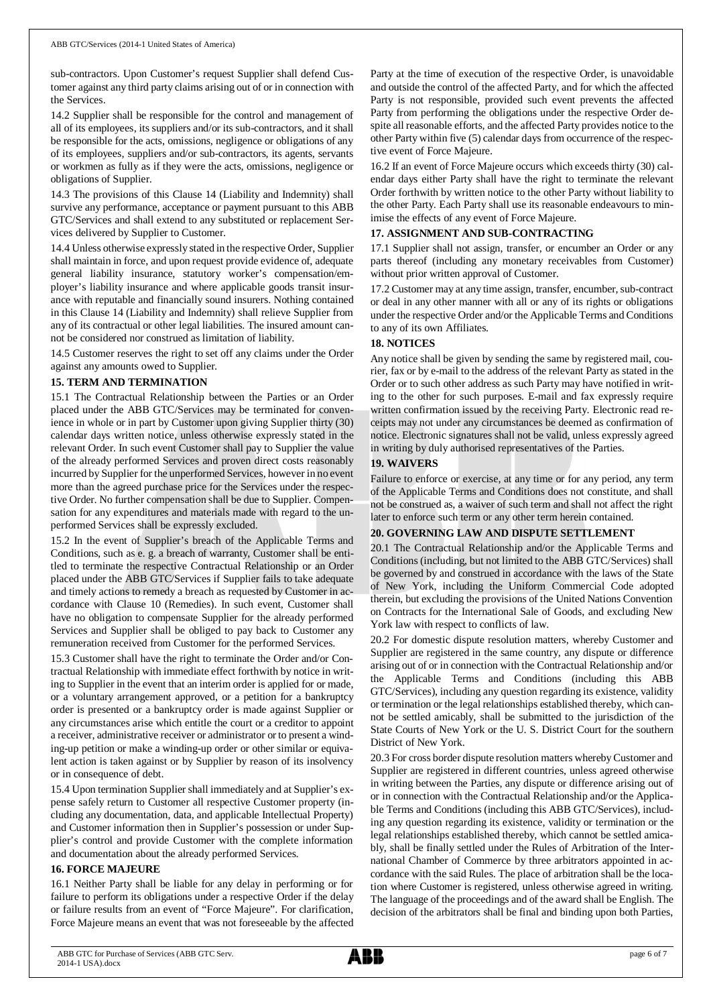sub-contractors. Upon Customer's request Supplier shall defend Customer against any third party claims arising out of or in connection with the Services.

14.2 Supplier shall be responsible for the control and management of all of its employees, its suppliers and/or its sub-contractors, and it shall be responsible for the acts, omissions, negligence or obligations of any of its employees, suppliers and/or sub-contractors, its agents, servants or workmen as fully as if they were the acts, omissions, negligence or obligations of Supplier.

14.3 The provisions of this Clause 14 (Liability and Indemnity) shall survive any performance, acceptance or payment pursuant to this ABB GTC/Services and shall extend to any substituted or replacement Services delivered by Supplier to Customer.

14.4 Unless otherwise expressly stated in the respective Order, Supplier shall maintain in force, and upon request provide evidence of, adequate general liability insurance, statutory worker's compensation/employer's liability insurance and where applicable goods transit insurance with reputable and financially sound insurers. Nothing contained in this Clause 14 (Liability and Indemnity) shall relieve Supplier from any of its contractual or other legal liabilities. The insured amount cannot be considered nor construed as limitation of liability.

14.5 Customer reserves the right to set off any claims under the Order against any amounts owed to Supplier.

#### **15. TERM AND TERMINATION**

15.1 The Contractual Relationship between the Parties or an Order placed under the ABB GTC/Services may be terminated for convenience in whole or in part by Customer upon giving Supplier thirty (30) calendar days written notice, unless otherwise expressly stated in the relevant Order. In such event Customer shall pay to Supplier the value of the already performed Services and proven direct costs reasonably incurred by Supplier for the unperformed Services, however in no event more than the agreed purchase price for the Services under the respective Order. No further compensation shall be due to Supplier. Compensation for any expenditures and materials made with regard to the unperformed Services shall be expressly excluded.

15.2 In the event of Supplier's breach of the Applicable Terms and Conditions, such as e. g. a breach of warranty, Customer shall be entitled to terminate the respective Contractual Relationship or an Order placed under the ABB GTC/Services if Supplier fails to take adequate and timely actions to remedy a breach as requested by Customer in accordance with Clause 10 (Remedies). In such event, Customer shall have no obligation to compensate Supplier for the already performed Services and Supplier shall be obliged to pay back to Customer any remuneration received from Customer for the performed Services.

15.3 Customer shall have the right to terminate the Order and/or Contractual Relationship with immediate effect forthwith by notice in writing to Supplier in the event that an interim order is applied for or made, or a voluntary arrangement approved, or a petition for a bankruptcy order is presented or a bankruptcy order is made against Supplier or any circumstances arise which entitle the court or a creditor to appoint a receiver, administrative receiver or administrator or to present a winding-up petition or make a winding-up order or other similar or equivalent action is taken against or by Supplier by reason of its insolvency or in consequence of debt.

15.4 Upon termination Supplier shall immediately and at Supplier's expense safely return to Customer all respective Customer property (including any documentation, data, and applicable Intellectual Property) and Customer information then in Supplier's possession or under Supplier's control and provide Customer with the complete information and documentation about the already performed Services.

### **16. FORCE MAJEURE**

16.1 Neither Party shall be liable for any delay in performing or for failure to perform its obligations under a respective Order if the delay or failure results from an event of "Force Majeure". For clarification, Force Majeure means an event that was not foreseeable by the affected Party at the time of execution of the respective Order, is unavoidable and outside the control of the affected Party, and for which the affected Party is not responsible, provided such event prevents the affected Party from performing the obligations under the respective Order despite all reasonable efforts, and the affected Party provides notice to the other Party within five (5) calendar days from occurrence of the respective event of Force Majeure.

16.2 If an event of Force Majeure occurs which exceeds thirty (30) calendar days either Party shall have the right to terminate the relevant Order forthwith by written notice to the other Party without liability to the other Party. Each Party shall use its reasonable endeavours to minimise the effects of any event of Force Majeure.

#### **17. ASSIGNMENT AND SUB-CONTRACTING**

17.1 Supplier shall not assign, transfer, or encumber an Order or any parts thereof (including any monetary receivables from Customer) without prior written approval of Customer.

17.2 Customer may at any time assign, transfer, encumber, sub-contract or deal in any other manner with all or any of its rights or obligations under the respective Order and/or the Applicable Terms and Conditions to any of its own Affiliates.

#### **18. NOTICES**

Any notice shall be given by sending the same by registered mail, courier, fax or by e-mail to the address of the relevant Party as stated in the Order or to such other address as such Party may have notified in writing to the other for such purposes. E-mail and fax expressly require written confirmation issued by the receiving Party. Electronic read receipts may not under any circumstances be deemed as confirmation of notice. Electronic signatures shall not be valid, unless expressly agreed in writing by duly authorised representatives of the Parties.

## **19. WAIVERS**

Failure to enforce or exercise, at any time or for any period, any term of the Applicable Terms and Conditions does not constitute, and shall not be construed as, a waiver of such term and shall not affect the right later to enforce such term or any other term herein contained.

#### **20. GOVERNING LAW AND DISPUTE SETTLEMENT**

20.1 The Contractual Relationship and/or the Applicable Terms and Conditions (including, but not limited to the ABB GTC/Services) shall be governed by and construed in accordance with the laws of the State of New York, including the Uniform Commercial Code adopted therein, but excluding the provisions of the United Nations Convention on Contracts for the International Sale of Goods, and excluding New York law with respect to conflicts of law.

20.2 For domestic dispute resolution matters, whereby Customer and Supplier are registered in the same country, any dispute or difference arising out of or in connection with the Contractual Relationship and/or the Applicable Terms and Conditions (including this ABB GTC/Services), including any question regarding its existence, validity or termination or the legal relationships established thereby, which cannot be settled amicably, shall be submitted to the jurisdiction of the State Courts of New York or the U. S. District Court for the southern District of New York.

20.3 For cross border dispute resolution matters whereby Customer and Supplier are registered in different countries, unless agreed otherwise in writing between the Parties, any dispute or difference arising out of or in connection with the Contractual Relationship and/or the Applicable Terms and Conditions (including this ABB GTC/Services), including any question regarding its existence, validity or termination or the legal relationships established thereby, which cannot be settled amicably, shall be finally settled under the Rules of Arbitration of the International Chamber of Commerce by three arbitrators appointed in accordance with the said Rules. The place of arbitration shall be the location where Customer is registered, unless otherwise agreed in writing. The language of the proceedings and of the award shall be English. The decision of the arbitrators shall be final and binding upon both Parties,